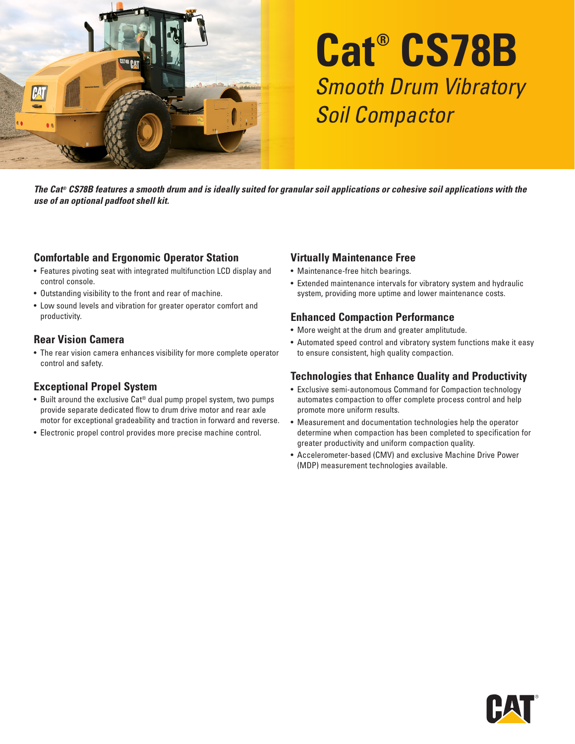

# **Cat® CS78B** Smooth Drum Vibratory Soil Compactor

*The Cat® CS78B features a smooth drum and is ideally suited for granular soil applications or cohesive soil applications with the use of an optional padfoot shell kit.*

#### **Comfortable and Ergonomic Operator Station**

- Features pivoting seat with integrated multifunction LCD display and control console.
- Outstanding visibility to the front and rear of machine.
- Low sound levels and vibration for greater operator comfort and productivity.

#### **Rear Vision Camera**

• The rear vision camera enhances visibility for more complete operator control and safety.

#### **Exceptional Propel System**

- Built around the exclusive Cat® dual pump propel system, two pumps provide separate dedicated flow to drum drive motor and rear axle motor for exceptional gradeability and traction in forward and reverse.
- Electronic propel control provides more precise machine control.

#### **Virtually Maintenance Free**

- Maintenance-free hitch bearings.
- Extended maintenance intervals for vibratory system and hydraulic system, providing more uptime and lower maintenance costs.

#### **Enhanced Compaction Performance**

- More weight at the drum and greater amplitutude.
- Automated speed control and vibratory system functions make it easy to ensure consistent, high quality compaction.

#### **Technologies that Enhance Quality and Productivity**

- Exclusive semi-autonomous Command for Compaction technology automates compaction to offer complete process control and help promote more uniform results.
- Measurement and documentation technologies help the operator determine when compaction has been completed to specification for greater productivity and uniform compaction quality.
- Accelerometer-based (CMV) and exclusive Machine Drive Power (MDP) measurement technologies available.

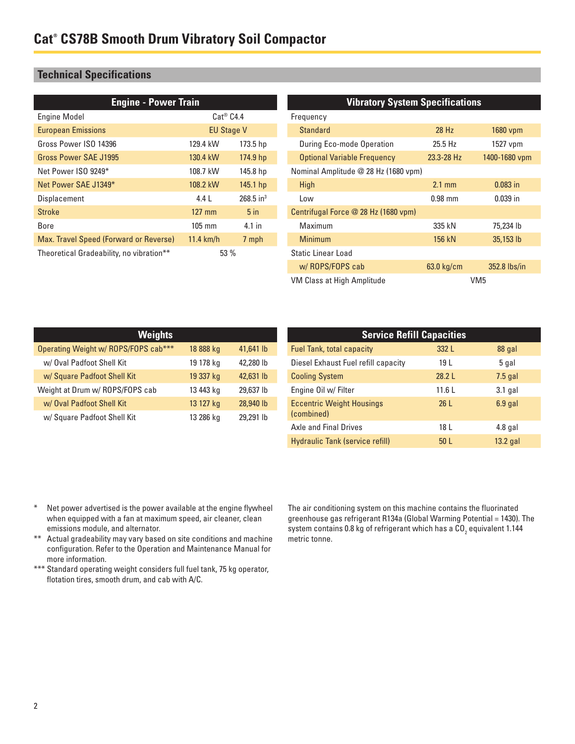### **Technical Specifications**

| <b>Engine - Power Train</b>                     |                   |                         | <b>Vibratory System Specifications</b> |                  |               |
|-------------------------------------------------|-------------------|-------------------------|----------------------------------------|------------------|---------------|
| <b>Engine Model</b>                             | $Cat^@$ $C4.4$    |                         | Frequency                              |                  |               |
| <b>European Emissions</b>                       | <b>EU Stage V</b> |                         | <b>Standard</b>                        | 28 Hz            | 1680 vpm      |
| Gross Power ISO 14396                           | 129.4 kW          | 173.5 hp                | During Eco-mode Operation              | 25.5 Hz          | 1527 vpm      |
| Gross Power SAE J1995                           | 130.4 kW          | 174.9 hp                | <b>Optional Variable Frequency</b>     | 23.3-28 Hz       | 1400-1680 vpm |
| Net Power ISO 9249*                             | 108.7 kW          | 145.8 hp                | Nominal Amplitude @ 28 Hz (1680 vpm)   |                  |               |
| Net Power SAE J1349*                            | 108.2 kW          | $145.1$ hp              | High                                   | $2.1 \text{ mm}$ | $0.083$ in    |
| Displacement                                    | 4.4 L             | $268.5$ in <sup>3</sup> | Low                                    | $0.98$ mm        | $0.039$ in    |
| <b>Stroke</b>                                   | $127$ mm          | 5 <sub>in</sub>         | Centrifugal Force @ 28 Hz (1680 vpm)   |                  |               |
| <b>Bore</b>                                     | $105$ mm          | $4.1$ in                | Maximum                                | 335 kN           | 75,234 lb     |
| Max. Travel Speed (Forward or Reverse)          | $11.4$ km/h       | 7 mph                   | <b>Minimum</b>                         | 156 kN           | 35,153 lb     |
| Theoretical Gradeability, no vibration**<br>53% |                   | Static Linear Load      |                                        |                  |               |
|                                                 |                   |                         | w/ROPS/FOPS cab                        | 63.0 kg/cm       | 352.8 lbs/in  |

| VM Class at High Amplitude | VM <sub>5</sub> |
|----------------------------|-----------------|
|----------------------------|-----------------|

| <b>Weights</b>                       |           |           |
|--------------------------------------|-----------|-----------|
| Operating Weight w/ ROPS/FOPS cab*** | 18 888 kg | 41,641 lb |
| w/ Oval Padfoot Shell Kit            | 19 178 kg | 42,280 lb |
| w/ Square Padfoot Shell Kit          | 19 337 kg | 42,631 lb |
| Weight at Drum w/ ROPS/FOPS cab      | 13 443 kg | 29,637 lb |
| w/ Oval Padfoot Shell Kit            | 13 127 kg | 28,940 lb |
| w/ Square Padfoot Shell Kit          | 13 286 kg | 29,291 lb |

| <b>Service Refill Capacities</b>               |                 |            |  |
|------------------------------------------------|-----------------|------------|--|
| <b>Fuel Tank, total capacity</b>               | 332 L           | 88 gal     |  |
| Diesel Exhaust Fuel refill capacity            | 19 L            | 5 gal      |  |
| <b>Cooling System</b>                          | 28.2L           | $7.5$ gal  |  |
| Engine Oil w/ Filter                           | 11.6L           | $3.1$ gal  |  |
| <b>Eccentric Weight Housings</b><br>(combined) | 26 <sub>L</sub> | $6.9$ gal  |  |
| <b>Axle and Final Drives</b>                   | 18 L            | $4.8$ gal  |  |
| Hydraulic Tank (service refill)                | 50 <sub>L</sub> | $13.2$ gal |  |

- \* Net power advertised is the power available at the engine flywheel when equipped with a fan at maximum speed, air cleaner, clean emissions module, and alternator.
- \*\* Actual gradeability may vary based on site conditions and machine configuration. Refer to the Operation and Maintenance Manual for more information.
- \*\*\* Standard operating weight considers full fuel tank, 75 kg operator, flotation tires, smooth drum, and cab with A/C.

The air conditioning system on this machine contains the fluorinated greenhouse gas refrigerant R134a (Global Warming Potential = 1430). The system contains 0.8 kg of refrigerant which has a CO $_{\rm 2}$  equivalent 1.144 metric tonne.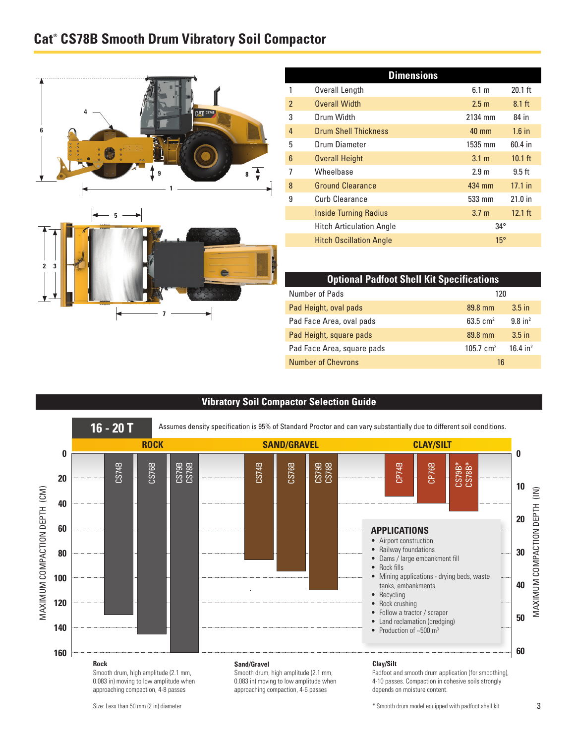## **Cat® CS78B Smooth Drum Vibratory Soil Compactor**





| <b>Dimensions</b>        |                                 |                  |           |
|--------------------------|---------------------------------|------------------|-----------|
|                          | Overall Length                  | 6.1 m            | $20.1$ ft |
| $\overline{\phantom{a}}$ | <b>Overall Width</b>            | 2.5 <sub>m</sub> | $8.1$ ft  |
| 3                        | Drum Width                      | 2134 mm          | 84 in     |
| $\overline{4}$           | <b>Drum Shell Thickness</b>     | 40 mm            | $1.6$ in  |
| 5                        | Drum Diameter                   | 1535 mm          | 60.4 in   |
| $6\phantom{1}6$          | <b>Overall Height</b>           | 3.1 <sub>m</sub> | $10.1$ ft |
| 7                        | Wheelbase                       | 2.9 <sub>m</sub> | $9.5$ ft  |
| 8                        | <b>Ground Clearance</b>         | 434 mm           | $17.1$ in |
| 9                        | Curb Clearance                  | 533 mm           | 21.0 in   |
|                          | <b>Inside Turning Radius</b>    | 3.7 <sub>m</sub> | $12.1$ ft |
|                          | <b>Hitch Articulation Angle</b> | $34^\circ$       |           |
|                          | <b>Hitch Oscillation Angle</b>  | $15^\circ$       |           |

| <b>Optional Padfoot Shell Kit Specifications</b> |                      |                        |  |
|--------------------------------------------------|----------------------|------------------------|--|
| Number of Pads                                   | 120                  |                        |  |
| Pad Height, oval pads                            | 89.8 mm              | $3.5$ in               |  |
| Pad Face Area, oval pads                         | 63.5 $cm2$           | $9.8$ in <sup>2</sup>  |  |
| Pad Height, square pads                          | 89.8 mm              | $3.5$ in               |  |
| Pad Face Area, square pads                       | $105.7 \text{ cm}^2$ | $16.4$ in <sup>2</sup> |  |
| <b>Number of Chevrons</b>                        | 16                   |                        |  |

#### **Vibratory Soil Compactor Selection Guide**



Size: Less than 50 mm (2 in) diameter

\* Smooth drum model equipped with padfoot shell kit